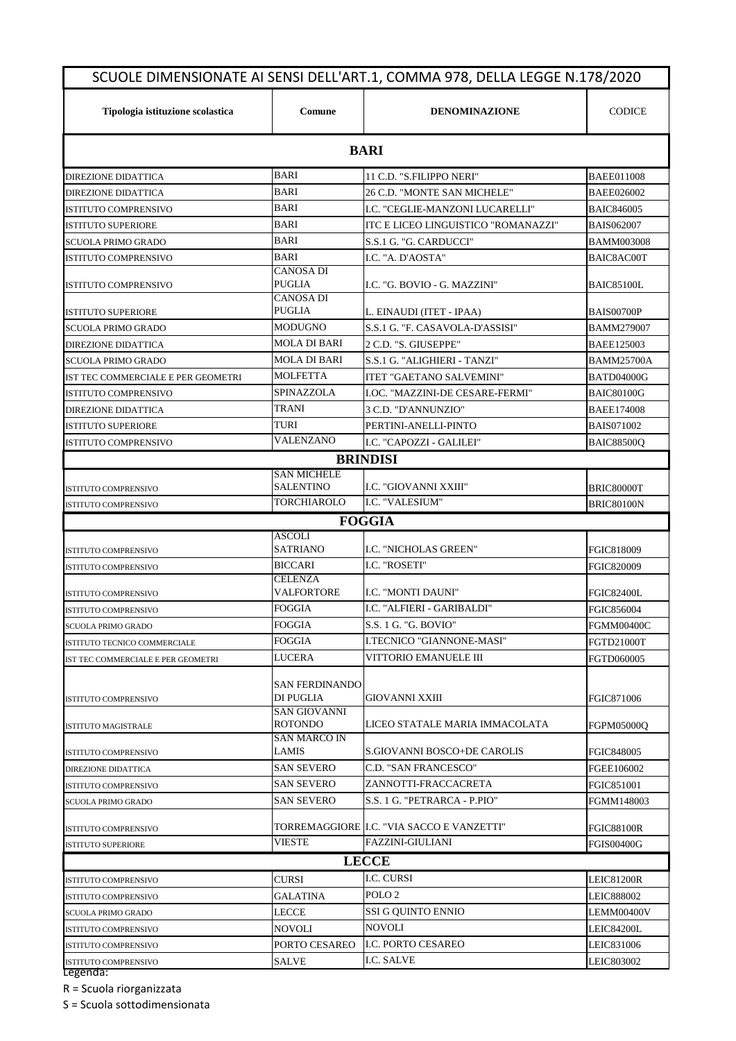| Tipologia istituzione scolastica   | Comune                         | <b>DENOMINAZIONE</b>                       | <b>CODICE</b>     |  |  |  |
|------------------------------------|--------------------------------|--------------------------------------------|-------------------|--|--|--|
|                                    |                                |                                            |                   |  |  |  |
|                                    |                                | <b>BARI</b>                                |                   |  |  |  |
| <b>DIREZIONE DIDATTICA</b>         | <b>BARI</b>                    | 11 C.D. "S.FILIPPO NERI"                   | <b>BAEE011008</b> |  |  |  |
| DIREZIONE DIDATTICA                | BARI                           | 26 C.D. "MONTE SAN MICHELE"                | <b>BAEE026002</b> |  |  |  |
| <b>ISTITUTO COMPRENSIVO</b>        | <b>BARI</b>                    | I.C. "CEGLIE-MANZONI LUCARELLI"            | <b>BAIC846005</b> |  |  |  |
| <b>ISTITUTO SUPERIORE</b>          | BARI                           | ITC E LICEO LINGUISTICO "ROMANAZZI"        | <b>BAIS062007</b> |  |  |  |
| <b>SCUOLA PRIMO GRADO</b>          | <b>BARI</b>                    | S.S.1 G. "G. CARDUCCI"                     | <b>BAMM003008</b> |  |  |  |
| <b>ISTITUTO COMPRENSIVO</b>        | BARI                           | I.C. "A. D'AOSTA"                          | BAIC8AC00T        |  |  |  |
|                                    | <b>CANOSA DI</b>               |                                            |                   |  |  |  |
| <b>ISTITUTO COMPRENSIVO</b>        | PUGLIA<br>CANOSA DI            | I.C. "G. BOVIO - G. MAZZINI"               | <b>BAIC85100L</b> |  |  |  |
| <b>ISTITUTO SUPERIORE</b>          | <b>PUGLIA</b>                  | L. EINAUDI (ITET - IPAA)                   | BAIS00700P        |  |  |  |
| <b>SCUOLA PRIMO GRADO</b>          | MODUGNO                        | S.S.1 G. "F. CASAVOLA-D'ASSISI"            | <b>BAMM279007</b> |  |  |  |
| <b>DIREZIONE DIDATTICA</b>         | MOLA DI BARI                   | 2 C.D. "S. GIUSEPPE"                       | <b>BAEE125003</b> |  |  |  |
| <b>SCUOLA PRIMO GRADO</b>          | MOLA DI BARI                   | S.S.1 G. "ALIGHIERI - TANZI"               | <b>BAMM25700A</b> |  |  |  |
| IST TEC COMMERCIALE E PER GEOMETRI | <b>MOLFETTA</b>                | <b>ITET "GAETANO SALVEMINI"</b>            | <b>BATD04000G</b> |  |  |  |
| <b>ISTITUTO COMPRENSIVO</b>        | SPINAZZOLA                     | <b>I.OC. "MAZZINI-DE CESARE-FERMI"</b>     | <b>BAIC80100G</b> |  |  |  |
| <b>DIREZIONE DIDATTICA</b>         | <b>TRANI</b>                   | 3 C.D. "D'ANNUNZIO"                        | <b>BAEE174008</b> |  |  |  |
| <b>ISTITUTO SUPERIORE</b>          | TURI                           | PERTINI-ANELLI-PINTO                       | <b>BAIS071002</b> |  |  |  |
| <b>ISTITUTO COMPRENSIVO</b>        | <b>VALENZANO</b>               | I.C. "CAPOZZI - GALILEI"                   | <b>BAIC88500Q</b> |  |  |  |
|                                    |                                | <b>BRINDISI</b>                            |                   |  |  |  |
|                                    | <b>SAN MICHELE</b>             |                                            |                   |  |  |  |
| <b>ISTITUTO COMPRENSIVO</b>        | <b>SALENTINO</b>               | I.C. "GIOVANNI XXIII"                      | <b>BRIC80000T</b> |  |  |  |
| <b>ISTITUTO COMPRENSIVO</b>        | TORCHIAROLO                    | I.C. "VALESIUM"                            | <b>BRIC80100N</b> |  |  |  |
|                                    |                                | <b>FOGGIA</b>                              |                   |  |  |  |
|                                    | ASCOLI                         |                                            |                   |  |  |  |
| <b>ISTITUTO COMPRENSIVO</b>        | <b>SATRIANO</b>                | <b>I.C. "NICHOLAS GREEN"</b>               | FGIC818009        |  |  |  |
| <b>ISTITUTO COMPRENSIVO</b>        | <b>BICCARI</b>                 | I.C. "ROSETI"                              | FGIC820009        |  |  |  |
| <b>ISTITUTO COMPRENSIVO</b>        | <b>CELENZA</b><br>VALFORTORE   | I.C. "MONTI DAUNI"                         | <b>FGIC82400L</b> |  |  |  |
| <b>ISTITUTO COMPRENSIVO</b>        | <b>FOGGIA</b>                  | LC. "ALFIERI - GARIBALDI"                  | FGIC856004        |  |  |  |
| <b>SCUOLA PRIMO GRADO</b>          | <b>FOGGIA</b>                  | S.S. 1 G. "G. BOVIO"                       | FGMM00400C        |  |  |  |
| ISTITUTO TECNICO COMMERCIALE       | FOGGIA                         | I.TECNICO "GIANNONE-MASI"                  | FGTD21000T        |  |  |  |
| IST TEC COMMERCIALE E PER GEOMETRI | LUCERA                         | VITTORIO EMANUELE III                      | FGTD060005        |  |  |  |
|                                    |                                |                                            |                   |  |  |  |
|                                    | SAN FERDINANDO                 |                                            |                   |  |  |  |
| <b>ISTITUTO COMPRENSIVO</b>        | DI PUGLIA                      | <b>GIOVANNI XXIII</b>                      | FGIC871006        |  |  |  |
|                                    | <b>SAN GIOVANNI</b><br>ROTONDO | LICEO STATALE MARIA IMMACOLATA             | FGPM05000O        |  |  |  |
| ISTITUTO MAGISTRALE                | <b>SAN MARCO IN</b>            |                                            |                   |  |  |  |
| ISTITUTO COMPRENSIVO               | LAMIS                          | S.GIOVANNI BOSCO+DE CAROLIS                | FGIC848005        |  |  |  |
| <b>DIREZIONE DIDATTICA</b>         | <b>SAN SEVERO</b>              | C.D. "SAN FRANCESCO"                       | FGEE106002        |  |  |  |
| ISTITUTO COMPRENSIVO               | <b>SAN SEVERO</b>              | ZANNOTTI-FRACCACRETA                       | FGIC851001        |  |  |  |
| SCUOLA PRIMO GRADO                 | <b>SAN SEVERO</b>              | S.S. 1 G. "PETRARCA - P.PIO"               | FGMM148003        |  |  |  |
|                                    |                                | TORREMAGGIORE  I.C. "VIA SACCO E VANZETTI" |                   |  |  |  |
| ISTITUTO COMPRENSIVO               | <b>VIESTE</b>                  | <b>FAZZINI-GIULIANI</b>                    | <b>FGIC88100R</b> |  |  |  |
| <b>ISTITUTO SUPERIORE</b>          |                                |                                            | <b>FGIS00400G</b> |  |  |  |
|                                    | <b>LECCE</b>                   |                                            |                   |  |  |  |
| ISTITUTO COMPRENSIVO               | CURSI                          | I.C. CURSI                                 | <b>LEIC81200R</b> |  |  |  |
| ISTITUTO COMPRENSIVO               | <b>GALATINA</b>                | POLO <sub>2</sub>                          | LEIC888002        |  |  |  |
| <b>SCUOLA PRIMO GRADO</b>          | LECCE                          | SSI G QUINTO ENNIO                         | LEMM00400V        |  |  |  |
| ISTITUTO COMPRENSIVO               | NOVOLI                         | <b>NOVOLI</b>                              | <b>LEIC84200L</b> |  |  |  |
| ISTITUTO COMPRENSIVO               | PORTO CESAREO                  | <b>I.C. PORTO CESAREO</b>                  | LEIC831006        |  |  |  |
| ISTITUTO COMPRENSIVO               | <b>SALVE</b>                   | I.C. SALVE                                 | LEIC803002        |  |  |  |

R = Scuola riorganizzata

S = Scuola sottodimensionata